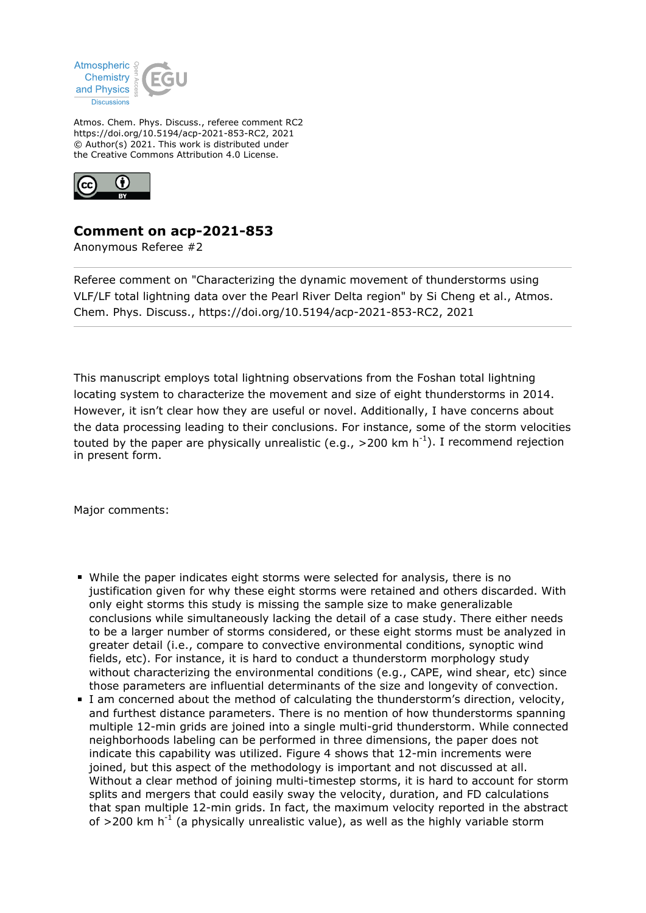

Atmos. Chem. Phys. Discuss., referee comment RC2 https://doi.org/10.5194/acp-2021-853-RC2, 2021 © Author(s) 2021. This work is distributed under the Creative Commons Attribution 4.0 License.



## **Comment on acp-2021-853**

Anonymous Referee #2

Referee comment on "Characterizing the dynamic movement of thunderstorms using VLF/LF total lightning data over the Pearl River Delta region" by Si Cheng et al., Atmos. Chem. Phys. Discuss., https://doi.org/10.5194/acp-2021-853-RC2, 2021

This manuscript employs total lightning observations from the Foshan total lightning locating system to characterize the movement and size of eight thunderstorms in 2014. However, it isn't clear how they are useful or novel. Additionally, I have concerns about the data processing leading to their conclusions. For instance, some of the storm velocities touted by the paper are physically unrealistic (e.g.,  $>$  200 km h<sup>-1</sup>). I recommend rejection in present form.

Major comments:

- While the paper indicates eight storms were selected for analysis, there is no justification given for why these eight storms were retained and others discarded. With only eight storms this study is missing the sample size to make generalizable conclusions while simultaneously lacking the detail of a case study. There either needs to be a larger number of storms considered, or these eight storms must be analyzed in greater detail (i.e., compare to convective environmental conditions, synoptic wind fields, etc). For instance, it is hard to conduct a thunderstorm morphology study without characterizing the environmental conditions (e.g., CAPE, wind shear, etc) since those parameters are influential determinants of the size and longevity of convection.
- I am concerned about the method of calculating the thunderstorm's direction, velocity, and furthest distance parameters. There is no mention of how thunderstorms spanning multiple 12-min grids are joined into a single multi-grid thunderstorm. While connected neighborhoods labeling can be performed in three dimensions, the paper does not indicate this capability was utilized. Figure 4 shows that 12-min increments were joined, but this aspect of the methodology is important and not discussed at all. Without a clear method of joining multi-timestep storms, it is hard to account for storm splits and mergers that could easily sway the velocity, duration, and FD calculations that span multiple 12-min grids. In fact, the maximum velocity reported in the abstract of  $>$ 200 km h<sup>-1</sup> (a physically unrealistic value), as well as the highly variable storm